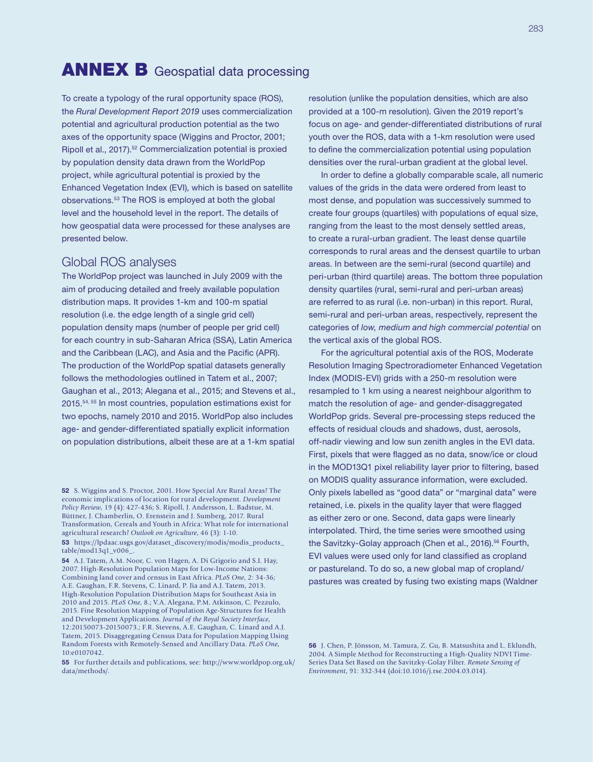## **ANNEX B** Geospatial data processing

To create a typology of the rural opportunity space (ROS), the *Rural Development Report 2019* uses commercialization potential and agricultural production potential as the two axes of the opportunity space [\(Wiggins and Proctor, 2001;](https://onlinelibrary.wiley.com/doi/abs/10.1111/1467-7679.00142) [Ripoll et al., 2017\)](http://journals.sagepub.com/doi/abs/10.1177/0030727017724669).52 Commercialization potential is proxied by population density data drawn from the [WorldPop](http://www.worldpop.org.uk/) project, while agricultural potential is proxied by the Enhanced Vegetation Index ([EVI\)](https://gcmd.nasa.gov/KeywordSearch/Metadata.do?Portal=NASA&KeywordPath=Parameters|AGRICULTURE|SOILS|RECLAMATION%2FREVEGETATION%2FRESTORATION&OrigMetadataNode=GCMD&EntryId=MEaSUREs_VIP_EVI&MetadataView=Full&MetadataType=0&lbnode=mdlb3), which is based on satellite observations.53 The ROS is employed at both the global level and the household level in the report. The details of how geospatial data were processed for these analyses are presented below.

## Global ROS analyses

The WorldPop project was launched in July 2009 with the aim of producing detailed and freely available population distribution maps. It provides 1-km and 100-m spatial resolution (i.e. the edge length of a single grid cell) population density maps (number of people per grid cell) for each country in sub-Saharan Africa (SSA), Latin America and the Caribbean (LAC), and Asia and the Pacific (APR). The production of the WorldPop spatial datasets generally follows the methodologies outlined in Tatem et al., 2007; Gaughan et al., 2013; Alegana et al., 2015; and Stevens et al., 2015.54, 55 In most countries, population estimations exist for two epochs, namely 2010 and 2015. WorldPop also includes age- and gender-differentiated spatially explicit information on population distributions, albeit these are at a 1-km spatial

[table/mod13q1\\_v006\\_](https://lpdaac.usgs.gov/dataset_discovery/modis/modis_products_table/mod13q1_v006).

resolution (unlike the population densities, which are also provided at a 100-m resolution). Given the 2019 report's focus on age- and gender-differentiated distributions of rural youth over the ROS, data with a 1-km resolution were used to define the commercialization potential using population densities over the rural-urban gradient at the global level.

In order to define a globally comparable scale, all numeric values of the grids in the data were ordered from least to most dense, and population was successively summed to create four groups (quartiles) with populations of equal size, ranging from the least to the most densely settled areas, to create a rural-urban gradient. The least dense quartile corresponds to rural areas and the densest quartile to urban areas. In between are the semi-rural (second quartile) and peri-urban (third quartile) areas. The bottom three population density quartiles (rural, semi-rural and peri-urban areas) are referred to as rural (i.e. non-urban) in this report. Rural, semi-rural and peri-urban areas, respectively, represent the categories of *low, medium and high commercial potential* on the vertical axis of the global ROS.

For the agricultural potential axis of the ROS, Moderate Resolution Imaging Spectroradiometer Enhanced Vegetation Index (MODIS-EVI) grids with a 250-m resolution were resampled to 1 km using a nearest neighbour algorithm to match the resolution of age- and gender-disaggregated WorldPop grids. Several pre-processing steps reduced the effects of residual clouds and shadows, dust, aerosols, off-nadir viewing and low sun zenith angles in the EVI data. First, pixels that were flagged as no data, snow/ice or cloud in the MOD13Q1 pixel reliability layer prior to filtering, based on MODIS quality assurance information, were excluded. Only pixels labelled as "good data" or "marginal data" were retained, i.e. pixels in the quality layer that were flagged as either zero or one. Second, data gaps were linearly interpolated. Third, the time series were smoothed using the Savitzky-Golay approach (Chen et al., 2016).<sup>56</sup> Fourth, EVI values were used only for land classified as cropland or pastureland. To do so, a new global map of cropland/ pastures was created by fusing two existing maps (Waldner

<sup>52</sup> S. Wiggins and S. Proctor, 2001. How Special Are Rural Areas? The economic implications of location for rural development. *Development Policy Review*, 19 (4): 427-436; S. Ripoll, J. Andersson, L. Badstue, M. Büttner, J. Chamberlin, O. Erenstein and J. Sumberg, 2017. Rural Transformation, Cereals and Youth in Africa: What role for international agricultural research? *Outlook on Agriculture*, 46 (3): 1-10. 53 [https://lpdaac.usgs.gov/dataset\\_discovery/modis/modis\\_products\\_](https://lpdaac.usgs.gov/dataset_discovery/modis/modis_products_table/mod13q1_v006)

<sup>54</sup> A.J. Tatem, A.M. Noor, C. von Hagen, A. Di Grigorio and S.I. Hay, 2007. High-Resolution Population Maps for Low-Income Nations: Combining land cover and census in East Africa. *PLoS One*, 2: 34-36; A.E. Gaughan, F.R. Stevens, C. Linard, P. Jia and A.J. Tatem, 2013. High-Resolution Population Distribution Maps for Southeast Asia in 2010 and 2015. *PLoS One*, 8.; V.A. Alegana, P.M. Atkinson, C. Pezzulo, 2015. Fine Resolution Mapping of Population Age-Structures for Health and Development Applications. *Journal of the Royal Society Interface*, 12:20150073-20150073.; F.R. Stevens, A.E. Gaughan, C. Linard and A.J. Tatem, 2015. Disaggregating Census Data for Population Mapping Using Random Forests with Remotely-Sensed and Ancillary Data. *PLoS One*, 10:e0107042.

<sup>55</sup> For further details and publications, see: [http://www.worldpop.org.uk/](http://www.worldpop.org.uk/data/methods/) [data/methods/](http://www.worldpop.org.uk/data/methods/).

<sup>56</sup> J. Chen, P. Jönsson, M. Tamura, Z. Gu, B. Matsushita and L. Eklundh, 2004. A Simple Method for Reconstructing a High-Quality NDVI Time-Series Data Set Based on the Savitzky-Golay Filter. *Remote Sensing of Environment*, 91: 332-344 [\(doi:10.1016/j.rse.2004.03.014\)](doi:10.1016/j.rse.2004.03.014).